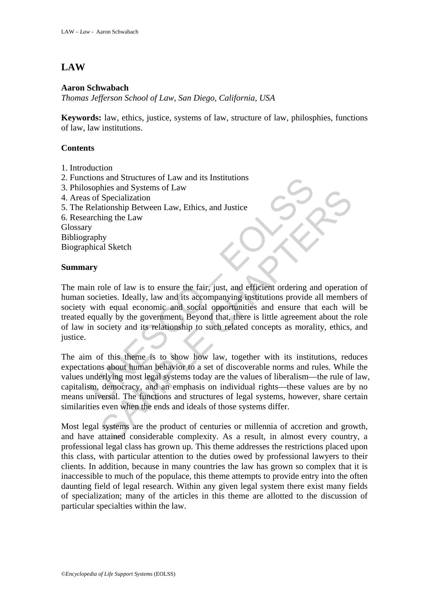# **LAW**

### **Aaron Schwabach**

*Thomas Jefferson School of Law, San Diego, California, USA* 

**Keywords:** law, ethics, justice, systems of law, structure of law, philosphies, functions of law, law institutions.

## **Contents**

- 1. Introduction
- 2. Functions and Structures of Law and its Institutions
- 3. Philosophies and Systems of Law
- 4. Areas of Specialization
- 5. The Relationship Between Law, Ethics, and Justice
- 6. Researching the Law

Glossary

Bibliography

Biographical Sketch

### **Summary**

tions and Structures of Law and its Institutions<br>softhies and Systems of Law<br>sof Specialization<br>elationship Between Law, Ethics, and Justice<br>arching the Law<br>praphy<br>maphy<br>maphy<br>maphy<br>maphy<br>maphy<br>in role of law is to ensure Specialization<br>Seculization<br>Seculization<br>In Seculization<br>In this Between Law, Ethics, and Justice<br>In the Law<br>standard sconne and socialization<br>specialization<br>or and its accompanying institutions provide all member<br>the equa The main role of law is to ensure the fair, just, and efficient ordering and operation of human societies. Ideally, law and its accompanying institutions provide all members of society with equal economic and social opportunities and ensure that each will be treated equally by the government. Beyond that, there is little agreement about the role of law in society and its relationship to such related concepts as morality, ethics, and justice.

The aim of this theme is to show how law, together with its institutions, reduces expectations about human behavior to a set of discoverable norms and rules. While the values underlying most legal systems today are the values of liberalism—the rule of law, capitalism, democracy, and an emphasis on individual rights—these values are by no means universal. The functions and structures of legal systems, however, share certain similarities even when the ends and ideals of those systems differ.

Most legal systems are the product of centuries or millennia of accretion and growth, and have attained considerable complexity. As a result, in almost every country, a professional legal class has grown up. This theme addresses the restrictions placed upon this class, with particular attention to the duties owed by professional lawyers to their clients. In addition, because in many countries the law has grown so complex that it is inaccessible to much of the populace, this theme attempts to provide entry into the often daunting field of legal research. Within any given legal system there exist many fields of specialization; many of the articles in this theme are allotted to the discussion of particular specialties within the law.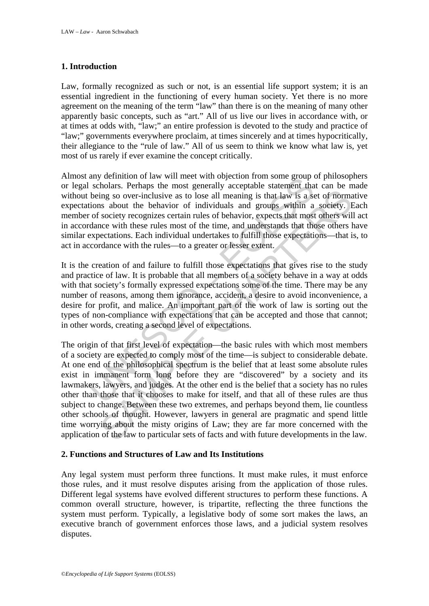### **1. Introduction**

Law, formally recognized as such or not, is an essential life support system; it is an essential ingredient in the functioning of every human society. Yet there is no more agreement on the meaning of the term "law" than there is on the meaning of many other apparently basic concepts, such as "art." All of us live our lives in accordance with, or at times at odds with, "law;" an entire profession is devoted to the study and practice of "law;" governments everywhere proclaim, at times sincerely and at times hypocritically, their allegiance to the "rule of law." All of us seem to think we know what law is, yet most of us rarely if ever examine the concept critically.

any eminution or law will meet with objection from some group<br>and scholars. Perhaps the most generally acceptable statement that<br>being so over-inclusive as to lose all meaning is that law is a sec-<br>tions about the behavior Almost any definition of law will meet with objection from some group of philosophers or legal scholars. Perhaps the most generally acceptable statement that can be made without being so over-inclusive as to lose all meaning is that law is a set of normative expectations about the behavior of individuals and groups within a society. Each member of society recognizes certain rules of behavior, expects that most others will act in accordance with these rules most of the time, and understands that those others have similar expectations. Each individual undertakes to fulfill those expectations—that is, to act in accordance with the rules—to a greater or lesser extent.

It is the creation of and failure to fulfill those expectations that gives rise to the study and practice of law. It is probable that all members of a society behave in a way at odds with that society's formally expressed expectations some of the time. There may be any number of reasons, among them ignorance, accident, a desire to avoid inconvenience, a desire for profit, and malice. An important part of the work of law is sorting out the types of non-compliance with expectations that can be accepted and those that cannot; in other words, creating a second level of expectations.

ing so over-inclusive as to lose all meaning is that law is a set of normal<br>ing so over-inclusive as to lose all meaning is that law is a set of normal<br>is about the behavior of individuals and groups within a society. It<br>s The origin of that first level of expectation—the basic rules with which most members of a society are expected to comply most of the time—is subject to considerable debate. At one end of the philosophical spectrum is the belief that at least some absolute rules exist in immanent form long before they are "discovered" by a society and its lawmakers, lawyers, and judges. At the other end is the belief that a society has no rules other than those that it chooses to make for itself, and that all of these rules are thus subject to change. Between these two extremes, and perhaps beyond them, lie countless other schools of thought. However, lawyers in general are pragmatic and spend little time worrying about the misty origins of Law; they are far more concerned with the application of the law to particular sets of facts and with future developments in the law.

#### **2. Functions and Structures of Law and Its Institutions**

Any legal system must perform three functions. It must make rules, it must enforce those rules, and it must resolve disputes arising from the application of those rules. Different legal systems have evolved different structures to perform these functions. A common overall structure, however, is tripartite, reflecting the three functions the system must perform. Typically, a legislative body of some sort makes the laws, an executive branch of government enforces those laws, and a judicial system resolves disputes.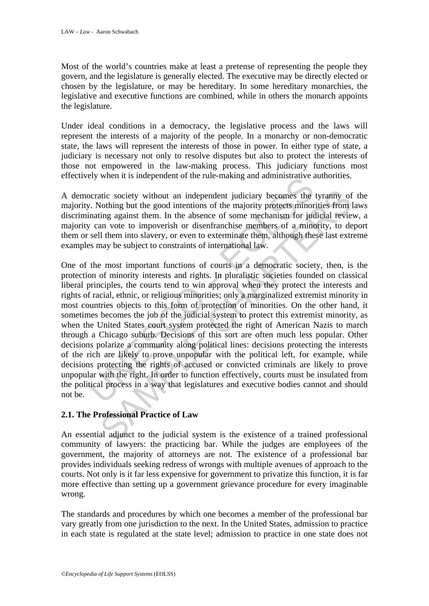Most of the world's countries make at least a pretense of representing the people they govern, and the legislature is generally elected. The executive may be directly elected or chosen by the legislature, or may be hereditary. In some hereditary monarchies, the legislative and executive functions are combined, while in others the monarch appoints the legislature.

Under ideal conditions in a democracy, the legislative process and the laws will represent the interests of a majority of the people. In a monarchy or non-democratic state, the laws will represent the interests of those in power. In either type of state, a judiciary is necessary not only to resolve disputes but also to protect the interests of those not empowered in the law-making process. This judiciary functions most effectively when it is independent of the rule-making and administrative authorities.

A democratic society without an independent judiciary becomes the tyranny of the majority. Nothing but the good intentions of the majority protects minorities from laws discriminating against them. In the absence of some mechanism for judicial review, a majority can vote to impoverish or disenfranchise members of a minority, to deport them or sell them into slavery, or even to exterminate them, although these last extreme examples may be subject to constraints of international law.

by when it is independent of the full-making and administrative and<br>corratic society without an independent judiciary becomes the<br>y. Nothing but the good intentions of the majority protects minor<br>inating against them. In t atic society without an independent judiciary becomes the tyranny of<br>oothing but the good intentions of the majority protects minorities from<br>ling against them. In the absence of some mechanism for judicial review<br>and a vo One of the most important functions of courts in a democratic society, then, is the protection of minority interests and rights. In pluralistic societies founded on classical liberal principles, the courts tend to win approval when they protect the interests and rights of racial, ethnic, or religious minorities; only a marginalized extremist minority in most countries objects to this form of protection of minorities. On the other hand, it sometimes becomes the job of the judicial system to protect this extremist minority, as when the United States court system protected the right of American Nazis to march through a Chicago suburb. Decisions of this sort are often much less popular. Other decisions polarize a community along political lines: decisions protecting the interests of the rich are likely to prove unpopular with the political left, for example, while decisions protecting the rights of accused or convicted criminals are likely to prove unpopular with the right. In order to function effectively, courts must be insulated from the political process in a way that legislatures and executive bodies cannot and should not be.

## **2.1. The Professional Practice of Law**

An essential adjunct to the judicial system is the existence of a trained professional community of lawyers: the practicing bar. While the judges are employees of the government, the majority of attorneys are not. The existence of a professional bar provides individuals seeking redress of wrongs with multiple avenues of approach to the courts. Not only is it far less expensive for government to privatize this function, it is far more effective than setting up a government grievance procedure for every imaginable wrong.

The standards and procedures by which one becomes a member of the professional bar vary greatly from one jurisdiction to the next. In the United States, admission to practice in each state is regulated at the state level; admission to practice in one state does not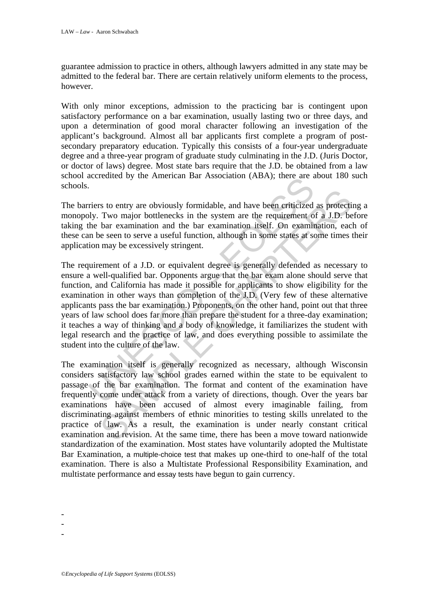guarantee admission to practice in others, although lawyers admitted in any state may be admitted to the federal bar. There are certain relatively uniform elements to the process, however.

With only minor exceptions, admission to the practicing bar is contingent upon satisfactory performance on a bar examination, usually lasting two or three days, and upon a determination of good moral character following an investigation of the applicant's background. Almost all bar applicants first complete a program of postsecondary preparatory education. Typically this consists of a four-year undergraduate degree and a three-year program of graduate study culminating in the J.D. (Juris Doctor, or doctor of laws) degree. Most state bars require that the J.D. be obtained from a law school accredited by the American Bar Association (ABA); there are about 180 such schools.

The barriers to entry are obviously formidable, and have been criticized as protecting a monopoly. Two major bottlenecks in the system are the requirement of a J.D. before taking the bar examination and the bar examination itself. On examination, each of these can be seen to serve a useful function, although in some states at some times their application may be excessively stringent.

The same of the Manuson and the process and the system of the system of the system of the system are the requirement of the bar examination and the bar examination itself. On examination be seen to serve a useful function, is to entry are obviously formidable, and have been criticized as protect<br>Two major bottlenecks in the system are the requirement of a J.D. be<br>the rexamination and the bar examination itself. On examination, eac<br>e seen to The requirement of a J.D. or equivalent degree is generally defended as necessary to ensure a well-qualified bar. Opponents argue that the bar exam alone should serve that function, and California has made it possible for applicants to show eligibility for the examination in other ways than completion of the J.D. (Very few of these alternative applicants pass the bar examination.) Proponents, on the other hand, point out that three years of law school does far more than prepare the student for a three-day examination; it teaches a way of thinking and a body of knowledge, it familiarizes the student with legal research and the practice of law, and does everything possible to assimilate the student into the culture of the law.

The examination itself is generally recognized as necessary, although Wisconsin considers satisfactory law school grades earned within the state to be equivalent to passage of the bar examination. The format and content of the examination have frequently come under attack from a variety of directions, though. Over the years bar examinations have been accused of almost every imaginable failing, from discriminating against members of ethnic minorities to testing skills unrelated to the practice of law. As a result, the examination is under nearly constant critical examination and revision. At the same time, there has been a move toward nationwide standardization of the examination. Most states have voluntarily adopted the Multistate Bar Examination, a multiple-choice test that makes up one-third to one-half of the total examination. There is also a Multistate Professional Responsibility Examination, and multistate performance and essay tests have begun to gain currency.

-

-

-